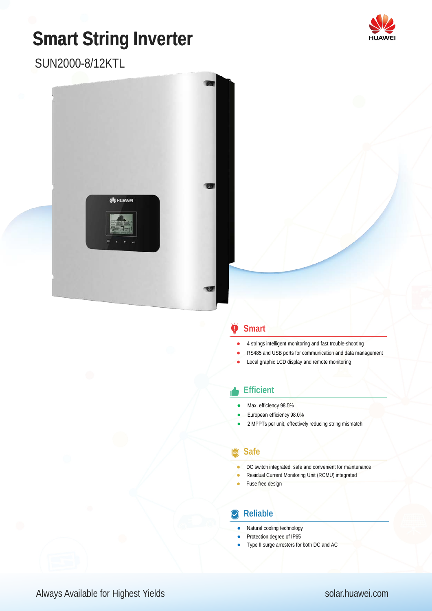# **Smart String Inverter**



# SUN2000-8/12KTL



### **Smart**

- 4 strings intelligent monitoring and fast trouble-shooting
- RS485 and USB ports for communication and data management
- Local graphic LCD display and remote monitoring

### **Efficient**

- Max. efficiency 98.5%
- European efficiency 98.0%
- 2 MPPTs per unit, effectively reducing string mismatch

#### **Safe**

- DC switch integrated, safe and convenient for maintenance
- Residual Current Monitoring Unit (RCMU) integrated
- Fuse free design

# **Reliable**

- Natural cooling technology
- Protection degree of IP65
- Type II surge arresters for both DC and AC

# solar.huawei.com